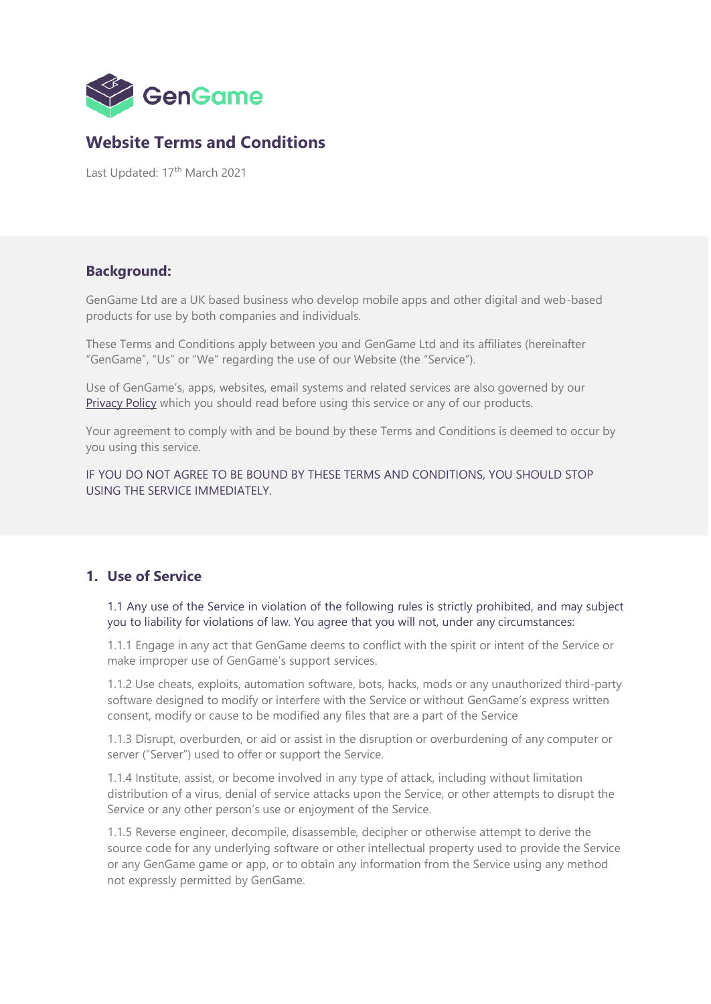

# **Website Terms and Conditions**

Last Updated: 17<sup>th</sup> March 2021

#### **Background:**

GenGame Ltd are a UK based business who develop mobile apps and other digital and web-based products for use by both companies and individuals.

These Terms and Conditions apply between you and GenGame Ltd and its affiliates (hereinafter "GenGame", "Us" or "We" regarding the use of our Website (the "Service").

Use of GenGame's, apps, websites, email systems and related services are also governed by our [Privacy Policy](https://2429a780-6912-45ec-82ae-fecf5e57c973.filesusr.com/ugd/844f0b_d0de7d50cf4940af845608b35d3f1905.pdf) which you should read before using this service or any of our products.

Your agreement to comply with and be bound by these Terms and Conditions is deemed to occur by you using this service.

IF YOU DO NOT AGREE TO BE BOUND BY THESE TERMS AND CONDITIONS, YOU SHOULD STOP USING THE SERVICE IMMEDIATELY.

# **1. Use of Service**

1.1 Any use of the Service in violation of the following rules is strictly prohibited, and may subject you to liability for violations of law. You agree that you will not, under any circumstances:

1.1.1 Engage in any act that GenGame deems to conflict with the spirit or intent of the Service or make improper use of GenGame's support services.

1.1.2 Use cheats, exploits, automation software, bots, hacks, mods or any unauthorized third-party software designed to modify or interfere with the Service or without GenGame's express written consent, modify or cause to be modified any files that are a part of the Service

1.1.3 Disrupt, overburden, or aid or assist in the disruption or overburdening of any computer or server ("Server") used to offer or support the Service.

1.1.4 Institute, assist, or become involved in any type of attack, including without limitation distribution of a virus, denial of service attacks upon the Service, or other attempts to disrupt the Service or any other person's use or enjoyment of the Service.

1.1.5 Reverse engineer, decompile, disassemble, decipher or otherwise attempt to derive the source code for any underlying software or other intellectual property used to provide the Service or any GenGame game or app, or to obtain any information from the Service using any method not expressly permitted by GenGame.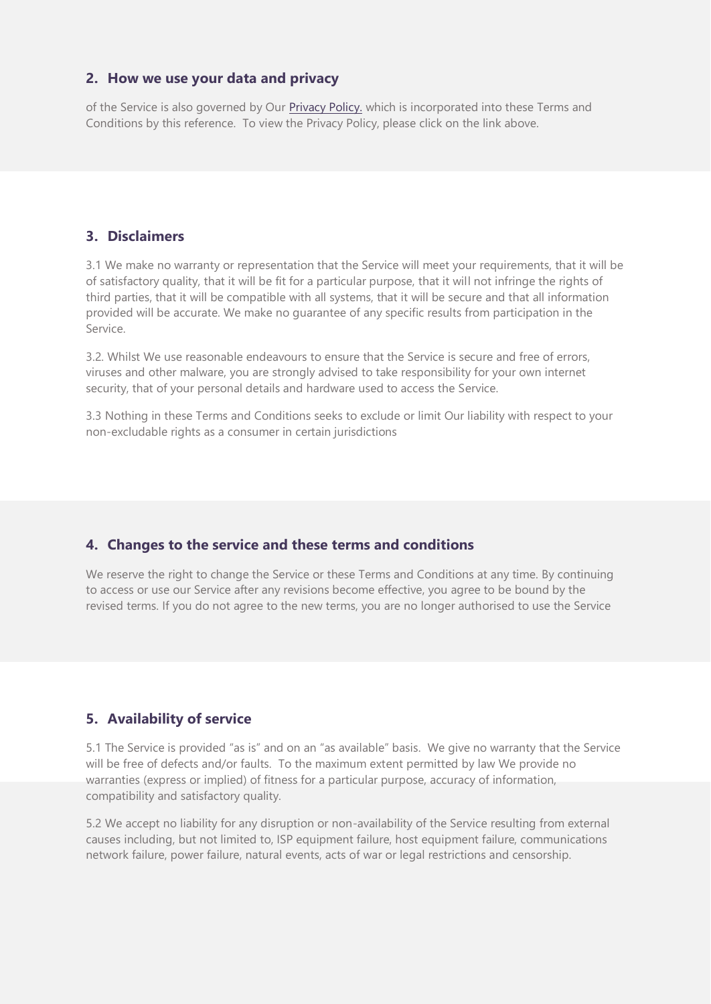#### **2. How we use your data and privacy**

of the Service is also governed by Our [Privacy Policy.](https://2429a780-6912-45ec-82ae-fecf5e57c973.filesusr.com/ugd/844f0b_d0de7d50cf4940af845608b35d3f1905.pdf) which is incorporated into these Terms and Conditions by this reference. To view the Privacy Policy, please click on the link above.

## **3. Disclaimers**

3.1 We make no warranty or representation that the Service will meet your requirements, that it will be of satisfactory quality, that it will be fit for a particular purpose, that it will not infringe the rights of third parties, that it will be compatible with all systems, that it will be secure and that all information provided will be accurate. We make no guarantee of any specific results from participation in the Service.

3.2. Whilst We use reasonable endeavours to ensure that the Service is secure and free of errors, viruses and other malware, you are strongly advised to take responsibility for your own internet security, that of your personal details and hardware used to access the Service.

3.3 Nothing in these Terms and Conditions seeks to exclude or limit Our liability with respect to your non-excludable rights as a consumer in certain jurisdictions

#### **4. Changes to the service and these terms and conditions**

We reserve the right to change the Service or these Terms and Conditions at any time. By continuing to access or use our Service after any revisions become effective, you agree to be bound by the revised terms. If you do not agree to the new terms, you are no longer authorised to use the Service

#### **5. Availability of service**

5.1 The Service is provided "as is" and on an "as available" basis. We give no warranty that the Service will be free of defects and/or faults. To the maximum extent permitted by law We provide no warranties (express or implied) of fitness for a particular purpose, accuracy of information, compatibility and satisfactory quality.

5.2 We accept no liability for any disruption or non-availability of the Service resulting from external causes including, but not limited to, ISP equipment failure, host equipment failure, communications network failure, power failure, natural events, acts of war or legal restrictions and censorship.